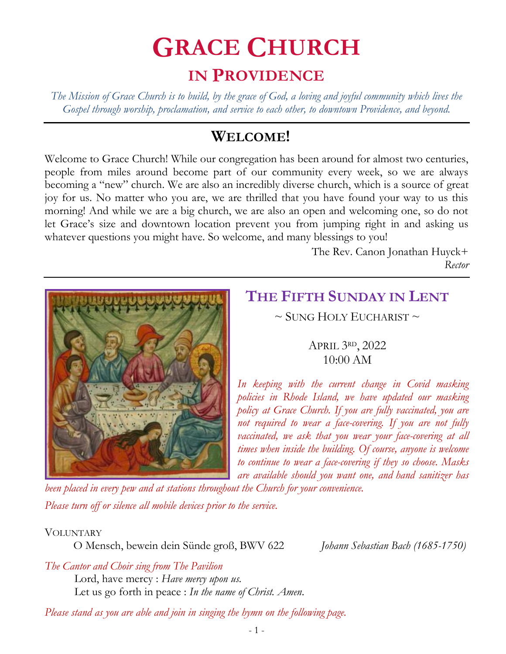# **GRACE CHURCH IN PROVIDENCE**

*The Mission of Grace Church is to build, by the grace of God, a loving and joyful community which lives the Gospel through worship, proclamation, and service to each other, to downtown Providence, and beyond.*

# **WELCOME!**

Welcome to Grace Church! While our congregation has been around for almost two centuries, people from miles around become part of our community every week, so we are always becoming a "new" church. We are also an incredibly diverse church, which is a source of great joy for us. No matter who you are, we are thrilled that you have found your way to us this morning! And while we are a big church, we are also an open and welcoming one, so do not let Grace's size and downtown location prevent you from jumping right in and asking us whatever questions you might have. So welcome, and many blessings to you!

> The Rev. Canon Jonathan Huyck+ *Rector*



# **THE FIFTH SUNDAY IN LENT**

 $\sim$  SUNG HOLY EUCHARIST  $\sim$ 

## APRIL 3RD, 2022 10:00 AM

*In keeping with the current change in Covid masking policies in Rhode Island, we have updated our masking policy at Grace Church. If you are fully vaccinated, you are not required to wear a face-covering. If you are not fully vaccinated, we ask that you wear your face-covering at all times when inside the building. Of course, anyone is welcome to continue to wear a face-covering if they so choose. Masks are available should you want one, and hand sanitizer has*

*been placed in every pew and at stations throughout the Church for your convenience. Please turn off or silence all mobile devices prior to the service.*

#### VOLUNTARY

O Mensch, bewein dein Sünde groß, BWV 622 *Johann Sebastian Bach (1685-1750)*

*The Cantor and Choir sing from The Pavilion*

Lord, have mercy : *Have mercy upon us.* Let us go forth in peace : *In the name of Christ. Amen*.

*Please stand as you are able and join in singing the hymn on the following page.*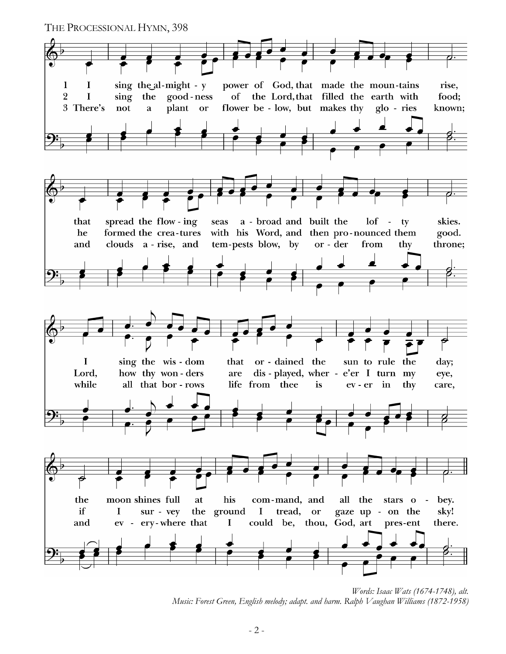THE PROCESSIONAL HYMN, 398



*Words: Isaac Wats (1674-1748), alt. Music: Forest Green, English melody; adapt. and harm. Ralph Vaughan Williams (1872-1958)*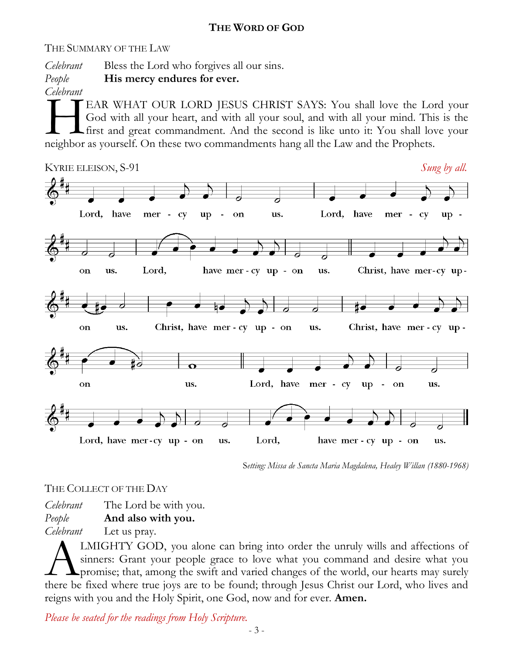### **THE WORD OF GOD**

THE SUMMARY OF THE LAW

*Celebrant* Bless the Lord who forgives all our sins. *People* **His mercy endures for ever.** *Celebrant*

EAR WHAT OUR LORD JESUS CHRIST SAYS: You shall love the Lord your God with all your heart, and with all your soul, and with all your mind. This is the first and great commandment. And the second is like unto it: You shall love your neighbor as yourself. On these two commandments hang all the Law and the Prophets. Chevrant<br>
neighbor



S*etting: Missa de Sancta Maria Magdalena, Healey Willan (1880-1968)*

THE COLLECT OF THE DAY

*Celebrant* The Lord be with you.

*People* **And also with you.**

*Celebrant* Let us pray.

LMIGHTY GOD, you alone can bring into order the unruly wills and affections of sinners: Grant your people grace to love what you command and desire what you promise; that, among the swift and varied changes of the world, our hearts may surely LMIGHTY GOD, you alone can bring into order the unruly wills and affections of sinners: Grant your people grace to love what you command and desire what you promise; that, among the swift and varied changes of the world, o reigns with you and the Holy Spirit, one God, now and for ever. **Amen.**

*Please be seated for the readings from Holy Scripture.*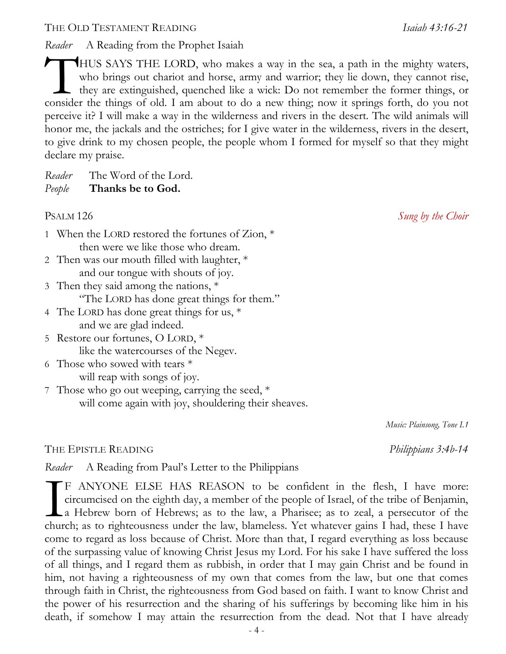#### THE OLD TESTAMENT READING *Isaiah 43:16-21*

*Reader* A Reading from the Prophet Isaiah

HUS SAYS THE LORD, who makes a way in the sea, a path in the mighty waters, who brings out chariot and horse, army and warrior; they lie down, they cannot rise, they are extinguished, quenched like a wick: Do not remember the former things, or HUS SAYS THE LORD, who makes a way in the sea, a path in the mighty waters, who brings out chariot and horse, army and warrior; they lie down, they cannot rise, they are extinguished, quenched like a wick: Do not remember perceive it? I will make a way in the wilderness and rivers in the desert. The wild animals will honor me, the jackals and the ostriches; for I give water in the wilderness, rivers in the desert, to give drink to my chosen people, the people whom I formed for myself so that they might declare my praise.

*Reader* The Word of the Lord. *People* **Thanks be to God.**

- 1 When the LORD restored the fortunes of Zion, \* then were we like those who dream.
- 2 Then was our mouth filled with laughter, \* and our tongue with shouts of joy.
- 3 Then they said among the nations, \* "The LORD has done great things for them."
- 4 The LORD has done great things for us, \* and we are glad indeed.
- 5 Restore our fortunes, O LORD, \* like the watercourses of the Negev.
- 6 Those who sowed with tears \* will reap with songs of joy.
- 7 Those who go out weeping, carrying the seed, \* will come again with joy, shouldering their sheaves.

THE EPISTLE READING *Philippians 3:4b-14*

*Music: Plainsong, Tone I.1*

*Reader* A Reading from Paul's Letter to the Philippians

F ANYONE ELSE HAS REASON to be confident in the flesh, I have more: circumcised on the eighth day, a member of the people of Israel, of the tribe of Benjamin, a Hebrew born of Hebrews; as to the law, a Pharisee; as to zeal, a persecutor of the F ANYONE ELSE HAS REASON to be confident in the flesh, I have more:<br>circumcised on the eighth day, a member of the people of Israel, of the tribe of Benjamin,<br>a Hebrew born of Hebrews; as to the law, a Pharisee; as to zeal come to regard as loss because of Christ. More than that, I regard everything as loss because of the surpassing value of knowing Christ Jesus my Lord. For his sake I have suffered the loss of all things, and I regard them as rubbish, in order that I may gain Christ and be found in him, not having a righteousness of my own that comes from the law, but one that comes through faith in Christ, the righteousness from God based on faith. I want to know Christ and the power of his resurrection and the sharing of his sufferings by becoming like him in his death, if somehow I may attain the resurrection from the dead. Not that I have already

- 4 -

PSALM 126 *Sung by the Choir*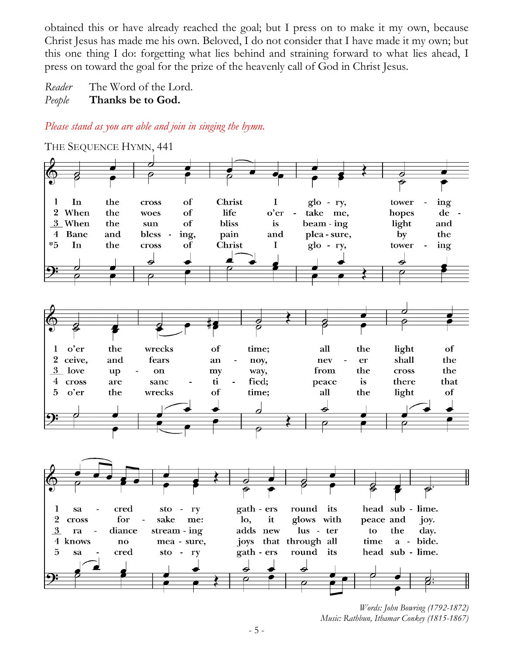obtained this or have already reached the goal; but I press on to make it my own, because Christ Jesus has made me his own. Beloved, I do not consider that I have made it my own; but this one thing I do: forgetting what lies behind and straining forward to what lies ahead, I press on toward the goal for the prize of the heavenly call of God in Christ Jesus.

*Reader* The Word of the Lord.

*People* **Thanks be to God.**

*Please stand as you are able and join in singing the hymn.*



*Words: John Bowring (1792-1872) Music: Rathbun, Ithamar Conkey (1815-1867)*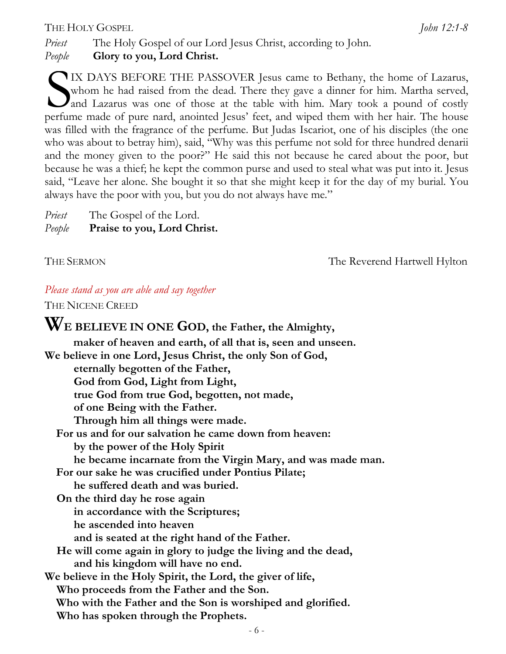## THE HOLY GOSPEL *John 12:1-8*

*Priest* The Holy Gospel of our Lord Jesus Christ, according to John. *People* **Glory to you, Lord Christ.**

IX DAYS BEFORE THE PASSOVER Jesus came to Bethany, the home of Lazarus, whom he had raised from the dead. There they gave a dinner for him. Martha served, and Lazarus was one of those at the table with him. Mary took a pound of costly perfume made of pure nard, anointed Jesus' feet, and wiped them with her hair. The house was filled with the fragrance of the perfume. But Judas Iscariot, one of his disciples (the one who was about to betray him), said, "Why was this perfume not sold for three hundred denarii and the money given to the poor?" He said this not because he cared about the poor, but because he was a thief; he kept the common purse and used to steal what was put into it. Jesus said, "Leave her alone. She bought it so that she might keep it for the day of my burial. You always have the poor with you, but you do not always have me." S<sub>perfur</sub>

*Priest* The Gospel of the Lord. *People* **Praise to you, Lord Christ.**

THE SERMON The Reverend Hartwell Hylton

#### *Please stand as you are able and say together*

THE NICENE CREED

**WE BELIEVE IN ONE GOD, the Father, the Almighty, maker of heaven and earth, of all that is, seen and unseen. We believe in one Lord, Jesus Christ, the only Son of God, eternally begotten of the Father, God from God, Light from Light, true God from true God, begotten, not made, of one Being with the Father. Through him all things were made. For us and for our salvation he came down from heaven: by the power of the Holy Spirit he became incarnate from the Virgin Mary, and was made man. For our sake he was crucified under Pontius Pilate; he suffered death and was buried. On the third day he rose again in accordance with the Scriptures; he ascended into heaven and is seated at the right hand of the Father. He will come again in glory to judge the living and the dead, and his kingdom will have no end. We believe in the Holy Spirit, the Lord, the giver of life, Who proceeds from the Father and the Son. Who with the Father and the Son is worshiped and glorified. Who has spoken through the Prophets.**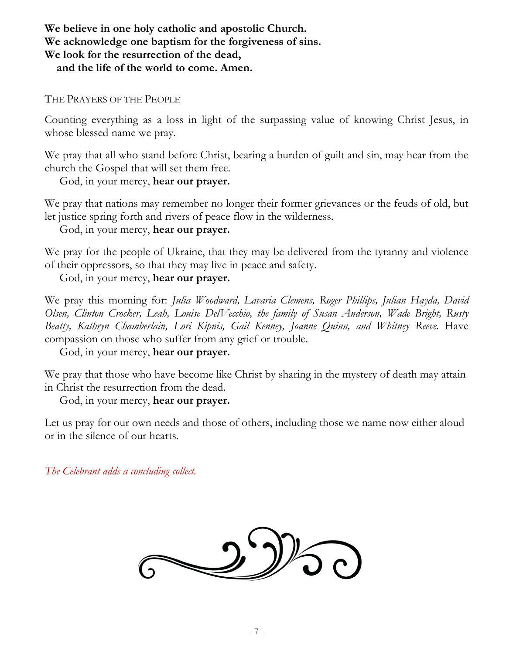#### **We believe in one holy catholic and apostolic Church. We acknowledge one baptism for the forgiveness of sins. We look for the resurrection of the dead, and the life of the world to come. Amen.**

THE PRAYERS OF THE PEOPLE

Counting everything as a loss in light of the surpassing value of knowing Christ Jesus, in whose blessed name we pray.

We pray that all who stand before Christ, bearing a burden of guilt and sin, may hear from the church the Gospel that will set them free.

God, in your mercy, **hear our prayer.**

We pray that nations may remember no longer their former grievances or the feuds of old, but let justice spring forth and rivers of peace flow in the wilderness.

God, in your mercy, **hear our prayer.**

We pray for the people of Ukraine, that they may be delivered from the tyranny and violence of their oppressors, so that they may live in peace and safety.

God, in your mercy, **hear our prayer.**

We pray this morning for: *Julia Woodward, Lavaria Clemens, Roger Phillips, Julian Hayda, David Olsen, Clinton Crocker, Leah, Louise DelVecchio, the family of Susan Anderson, Wade Bright, Rusty Beatty, Kathryn Chamberlain, Lori Kipnis, Gail Kenney, Joanne Quinn, and Whitney Reeve.* Have compassion on those who suffer from any grief or trouble.

God, in your mercy, **hear our prayer.**

We pray that those who have become like Christ by sharing in the mystery of death may attain in Christ the resurrection from the dead.

God, in your mercy, **hear our prayer.**

Let us pray for our own needs and those of others, including those we name now either aloud or in the silence of our hearts.

*The Celebrant adds a concluding collect.*

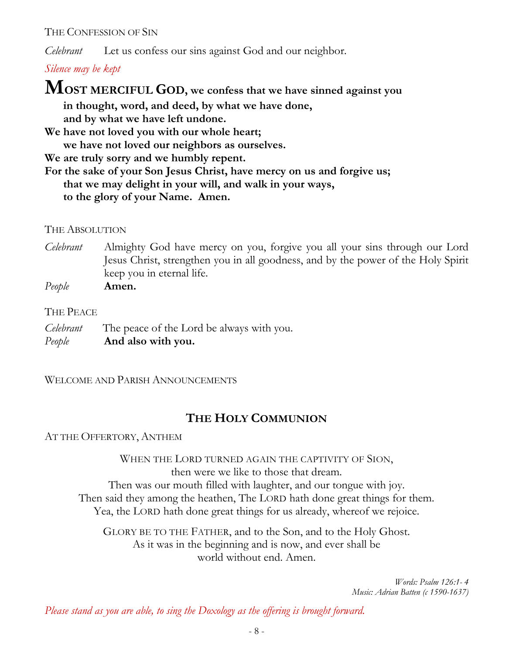THE CONFESSION OF SIN

*Celebrant* Let us confess our sins against God and our neighbor.

*Silence may be kept*

**MOST MERCIFUL GOD, we confess that we have sinned against you** 

**in thought, word, and deed, by what we have done, and by what we have left undone.** 

**We have not loved you with our whole heart; we have not loved our neighbors as ourselves.** 

**We are truly sorry and we humbly repent.** 

**For the sake of your Son Jesus Christ, have mercy on us and forgive us; that we may delight in your will, and walk in your ways, to the glory of your Name. Amen.**

THE ABSOLUTION

*Celebrant* Almighty God have mercy on you, forgive you all your sins through our Lord Jesus Christ, strengthen you in all goodness, and by the power of the Holy Spirit keep you in eternal life.

*People* **Amen.**

#### THE PEACE

*Celebrant* The peace of the Lord be always with you. *People* **And also with you.**

WELCOME AND PARISH ANNOUNCEMENTS

## **THE HOLY COMMUNION**

AT THE OFFERTORY, ANTHEM

WHEN THE LORD TURNED AGAIN THE CAPTIVITY OF SION, then were we like to those that dream. Then was our mouth filled with laughter, and our tongue with joy. Then said they among the heathen, The LORD hath done great things for them. Yea, the LORD hath done great things for us already, whereof we rejoice.

GLORY BE TO THE FATHER, and to the Son, and to the Holy Ghost. As it was in the beginning and is now, and ever shall be world without end. Amen.

> *Words: Psalm 126:1- 4 Music: Adrian Batten (c 1590-1637)*

*Please stand as you are able, to sing the Doxology as the offering is brought forward.*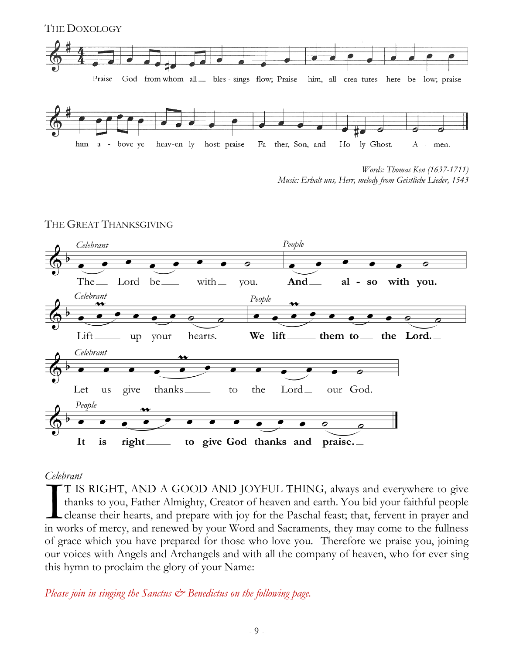

*Words: Thomas Ken (1637-1711) Music: Erhalt uns, Herr, melody from Geistliche Lieder, 1543*



#### THE GREAT THANKSGIVING

#### *Celebrant*

T IS RIGHT, AND A GOOD AND JOYFUL THING, always and everywhere to give thanks to you, Father Almighty, Creator of heaven and earth. You bid your faithful people cleanse their hearts, and prepare with joy for the Paschal feast; that, fervent in prayer and IT IS RIGHT, AND A GOOD AND JOYFUL THING, always and everywhere to give thanks to you, Father Almighty, Creator of heaven and earth. You bid your faithful people cleanse their hearts, and prepare with joy for the Paschal f of grace which you have prepared for those who love you. Therefore we praise you, joining our voices with Angels and Archangels and with all the company of heaven, who for ever sing this hymn to proclaim the glory of your Name:

*Please join in singing the Sanctus & Benedictus on the following page.*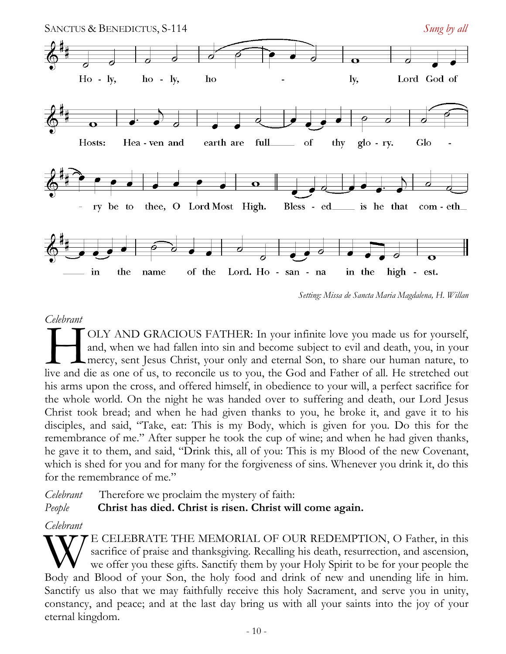

*Setting: Missa de Sancta Maria Magdalena, H. Willan*

#### *Celebrant*

OLY AND GRACIOUS FATHER: In your infinite love you made us for yourself, and, when we had fallen into sin and become subject to evil and death, you, in your mercy, sent Jesus Christ, your only and eternal Son, to share our human nature, to CERT OLY AND GRACIOUS FATHER: In your infinite love you made us for yourself, and, when we had fallen into sin and become subject to evil and death, you, in your mercy, sent Jesus Christ, your only and eternal Son, to shar his arms upon the cross, and offered himself, in obedience to your will, a perfect sacrifice for the whole world. On the night he was handed over to suffering and death, our Lord Jesus Christ took bread; and when he had given thanks to you, he broke it, and gave it to his disciples, and said, "Take, eat: This is my Body, which is given for you. Do this for the remembrance of me." After supper he took the cup of wine; and when he had given thanks, he gave it to them, and said, "Drink this, all of you: This is my Blood of the new Covenant, which is shed for you and for many for the forgiveness of sins. Whenever you drink it, do this for the remembrance of me."

*Celebrant* Therefore we proclaim the mystery of faith: *People* **Christ has died. Christ is risen. Christ will come again.**

#### *Celebrant*

E CELEBRATE THE MEMORIAL OF OUR REDEMPTION, O Father, in this sacrifice of praise and thanksgiving. Recalling his death, resurrection, and ascension, we offer you these gifts. Sanctify them by your Holy Spirit to be for your people the WE CELEBRATE THE MEMORIAL OF OUR REDEMPTION, O Father, in this sacrifice of praise and thanksgiving. Recalling his death, resurrection, and ascension, we offer you these gifts. Sanctify them by your Holy Spirit to be for y Sanctify us also that we may faithfully receive this holy Sacrament, and serve you in unity, constancy, and peace; and at the last day bring us with all your saints into the joy of your eternal kingdom.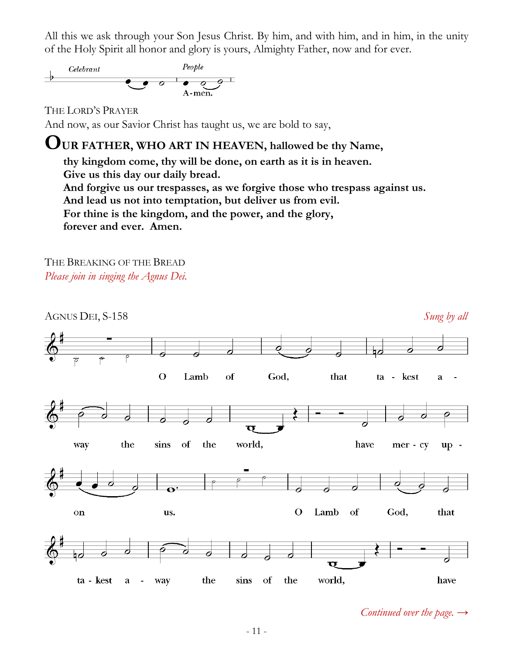All this we ask through your Son Jesus Christ. By him, and with him, and in him, in the unity of the Holy Spirit all honor and glory is yours, Almighty Father, now and for ever.



THE LORD'S PRAYER

And now, as our Savior Christ has taught us, we are bold to say,

# **OUR FATHER, WHO ART IN HEAVEN, hallowed be thy Name,**

**thy kingdom come, thy will be done, on earth as it is in heaven. Give us this day our daily bread.** 

**And forgive us our trespasses, as we forgive those who trespass against us.** 

**And lead us not into temptation, but deliver us from evil.** 

**For thine is the kingdom, and the power, and the glory,** 

**forever and ever. Amen.**

THE BREAKING OF THE BREAD *Please join in singing the Agnus Dei.*



*Continued over the page. →*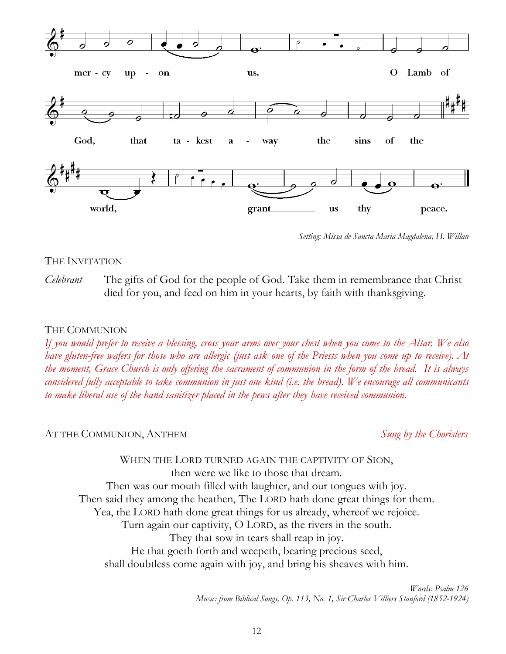

*Setting: Missa de Sancta Maria Magdalena, H. Willan*

#### THE INVITATION

*Celebrant* The gifts of God for the people of God. Take them in remembrance that Christ died for you, and feed on him in your hearts, by faith with thanksgiving.

#### THE COMMUNION

*If you would prefer to receive a blessing, cross your arms over your chest when you come to the Altar. We also have gluten-free wafers for those who are allergic (just ask one of the Priests when you come up to receive). At the moment, Grace Church is only offering the sacrament of communion in the form of the bread. It is always considered fully acceptable to take communion in just one kind (i.e. the bread). We encourage all communicants to make liberal use of the hand sanitizer placed in the pews after they have received communion.*

#### AT THE COMMUNION, ANTHEM *Sung by the Choristers*

WHEN THE LORD TURNED AGAIN THE CAPTIVITY OF SION, then were we like to those that dream. Then was our mouth filled with laughter, and our tongues with joy. Then said they among the heathen, The LORD hath done great things for them. Yea, the LORD hath done great things for us already, whereof we rejoice. Turn again our captivity, O LORD, as the rivers in the south. They that sow in tears shall reap in joy. He that goeth forth and weepeth, bearing precious seed, shall doubtless come again with joy, and bring his sheaves with him.

> *Words: Psalm 126 Music: from Biblical Songs, Op. 113, No. 1, Sir Charles Villiers Stanford (1852-1924)*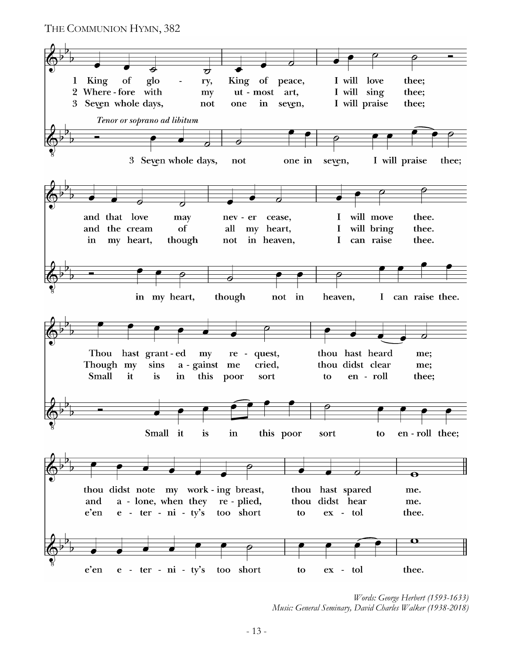THE COMMUNION HYMN, 382



*Words: George Herbert (1593-1633) Music: General Seminary, David Charles Walker (1938-2018)*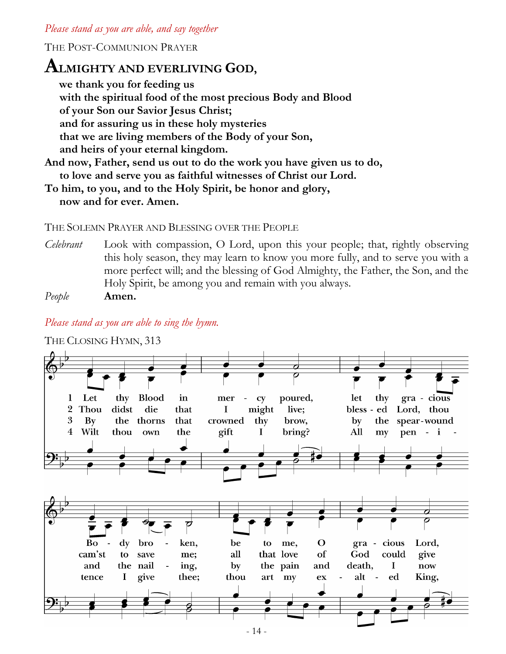*Please stand as you are able, and say together* 

THE POST-COMMUNION PRAYER

## **ALMIGHTY AND EVERLIVING GOD,**

 **we thank you for feeding us with the spiritual food of the most precious Body and Blood of your Son our Savior Jesus Christ; and for assuring us in these holy mysteries that we are living members of the Body of your Son, and heirs of your eternal kingdom. And now, Father, send us out to do the work you have given us to do, to love and serve you as faithful witnesses of Christ our Lord. To him, to you, and to the Holy Spirit, be honor and glory, now and for ever. Amen.**

THE SOLEMN PRAYER AND BLESSING OVER THE PEOPLE

*Celebrant* Look with compassion, O Lord, upon this your people; that, rightly observing this holy season, they may learn to know you more fully, and to serve you with a more perfect will; and the blessing of God Almighty, the Father, the Son, and the Holy Spirit, be among you and remain with you always.

*People* **Amen.**

### *Please stand as you are able to sing the hymn.*

THE CLOSING HYMN, 313

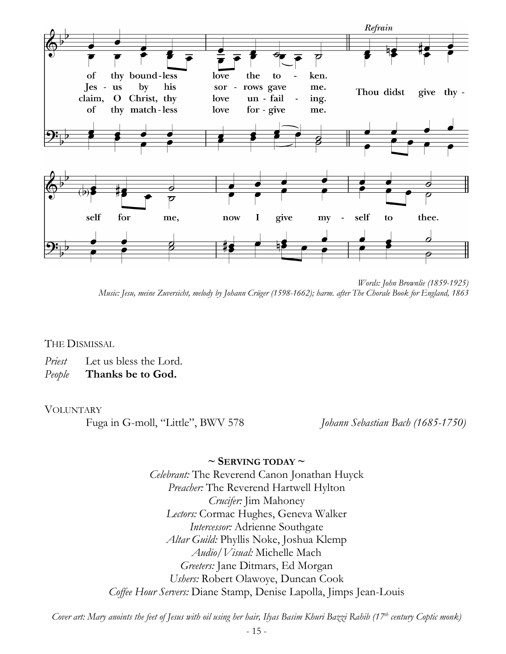

*Words: John Brownlie (1859-1925) Music: Jesu, meine Zuversicht, melody by Johann Crüger (1598-1662); harm. after The Chorale Book for England, 1863*

THE DISMISSAL

*Priest* Let us bless the Lord.

*People* **Thanks be to God.** 

VOLUNTARY

Fuga in G-moll, "Little", BWV 578 *Johann Sebastian Bach (1685-1750)*

#### $\sim$  **SERVING TODAY**  $\sim$

*Celebrant:* The Reverend Canon Jonathan Huyck *Preacher:* The Reverend Hartwell Hylton *Crucifer:* Jim Mahoney *Lectors:* Cormac Hughes, Geneva Walker *Intercessor:* Adrienne Southgate *Altar Guild:* Phyllis Noke, Joshua Klemp *Audio/Visual:* Michelle Mach *Greeters:* Jane Ditmars, Ed Morgan *Ushers:* Robert Olawoye, Duncan Cook *Coffee Hour Servers:* Diane Stamp, Denise Lapolla, Jimps Jean-Louis

*Cover art: Mary anoints the feet of Jesus with oil using her hair, Ilyas Basim Khuri Bazzi Rahib (17th century Coptic monk)*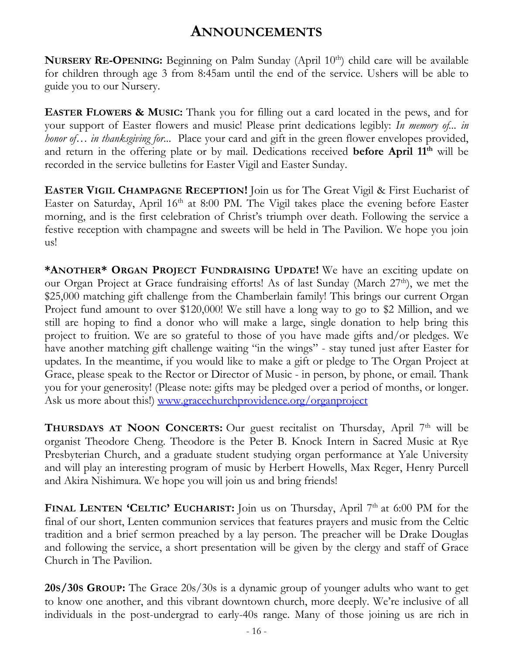## **ANNOUNCEMENTS**

**NURSERY RE-OPENING:** Beginning on Palm Sunday (April 10th) child care will be available for children through age 3 from 8:45am until the end of the service. Ushers will be able to guide you to our Nursery.

**EASTER FLOWERS & MUSIC:** Thank you for filling out a card located in the pews, and for your support of Easter flowers and music! Please print dedications legibly: *In memory of... in honor of… in thanksgiving for...* Place your card and gift in the green flower envelopes provided, and return in the offering plate or by mail. Dedications received **before April 11th** will be recorded in the service bulletins for Easter Vigil and Easter Sunday.

**EASTER VIGIL CHAMPAGNE RECEPTION!** Join us for The Great Vigil & First Eucharist of Easter on Saturday, April  $16<sup>th</sup>$  at 8:00 PM. The Vigil takes place the evening before Easter morning, and is the first celebration of Christ's triumph over death. Following the service a festive reception with champagne and sweets will be held in The Pavilion. We hope you join us!

**\*ANOTHER\* ORGAN PROJECT FUNDRAISING UPDATE!** We have an exciting update on our Organ Project at Grace fundraising efforts! As of last Sunday (March 27<sup>th</sup>), we met the \$25,000 matching gift challenge from the Chamberlain family! This brings our current Organ Project fund amount to over \$120,000! We still have a long way to go to \$2 Million, and we still are hoping to find a donor who will make a large, single donation to help bring this project to fruition. We are so grateful to those of you have made gifts and/or pledges. We have another matching gift challenge waiting "in the wings" - stay tuned just after Easter for updates. In the meantime, if you would like to make a gift or pledge to The Organ Project at Grace, please speak to the Rector or Director of Music - in person, by phone, or email. Thank you for your generosity! (Please note: gifts may be pledged over a period of months, or longer. Ask us more about this!) [www.gracechurchprovidence.org/organproject](http://www.gracechurchprovidence.org/organproject/)

**THURSDAYS AT NOON CONCERTS:** Our guest recitalist on Thursday, April 7<sup>th</sup> will be organist Theodore Cheng. Theodore is the Peter B. Knock Intern in Sacred Music at Rye Presbyterian Church, and a graduate student studying organ performance at Yale University and will play an interesting program of music by Herbert Howells, Max Reger, Henry Purcell and Akira Nishimura. We hope you will join us and bring friends!

**FINAL LENTEN 'CELTIC' EUCHARIST:** Join us on Thursday, April 7<sup>th</sup> at 6:00 PM for the final of our short, Lenten communion services that features prayers and music from the Celtic tradition and a brief sermon preached by a lay person. The preacher will be Drake Douglas and following the service, a short presentation will be given by the clergy and staff of Grace Church in The Pavilion.

**20S/30S GROUP:** The Grace 20s/30s is a dynamic group of younger adults who want to get to know one another, and this vibrant downtown church, more deeply. We're inclusive of all individuals in the post-undergrad to early-40s range. Many of those joining us are rich in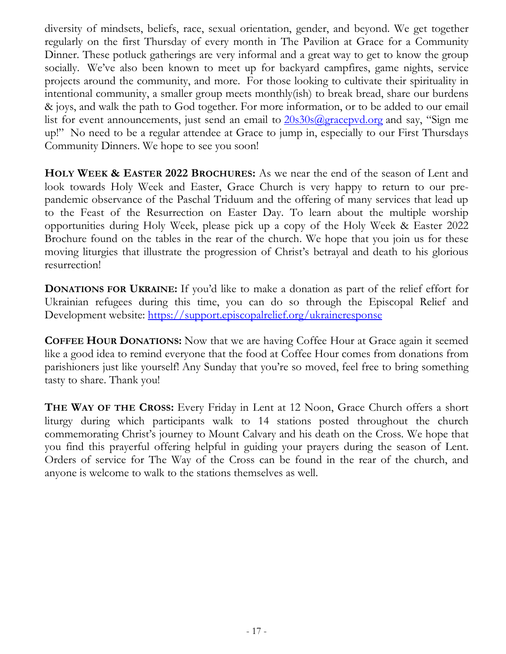diversity of mindsets, beliefs, race, sexual orientation, gender, and beyond. We get together regularly on the first Thursday of every month in The Pavilion at Grace for a Community Dinner. These potluck gatherings are very informal and a great way to get to know the group socially. We've also been known to meet up for backyard campfires, game nights, service projects around the community, and more. For those looking to cultivate their spirituality in intentional community, a smaller group meets monthly(ish) to break bread, share our burdens & joys, and walk the path to God together. For more information, or to be added to our email list for event announcements, just send an email to  $20s30s@gracepvd.org$  and say, "Sign me up!" No need to be a regular attendee at Grace to jump in, especially to our First Thursdays Community Dinners. We hope to see you soon!

**HOLY WEEK & EASTER 2022 BROCHURES:** As we near the end of the season of Lent and look towards Holy Week and Easter, Grace Church is very happy to return to our prepandemic observance of the Paschal Triduum and the offering of many services that lead up to the Feast of the Resurrection on Easter Day. To learn about the multiple worship opportunities during Holy Week, please pick up a copy of the Holy Week & Easter 2022 Brochure found on the tables in the rear of the church. We hope that you join us for these moving liturgies that illustrate the progression of Christ's betrayal and death to his glorious resurrection!

**DONATIONS FOR UKRAINE:** If you'd like to make a donation as part of the relief effort for Ukrainian refugees during this time, you can do so through the Episcopal Relief and Development website:<https://support.episcopalrelief.org/ukraineresponse>

**COFFEE HOUR DONATIONS:** Now that we are having Coffee Hour at Grace again it seemed like a good idea to remind everyone that the food at Coffee Hour comes from donations from parishioners just like yourself! Any Sunday that you're so moved, feel free to bring something tasty to share. Thank you!

**THE WAY OF THE CROSS:** Every Friday in Lent at 12 Noon, Grace Church offers a short liturgy during which participants walk to 14 stations posted throughout the church commemorating Christ's journey to Mount Calvary and his death on the Cross. We hope that you find this prayerful offering helpful in guiding your prayers during the season of Lent. Orders of service for The Way of the Cross can be found in the rear of the church, and anyone is welcome to walk to the stations themselves as well.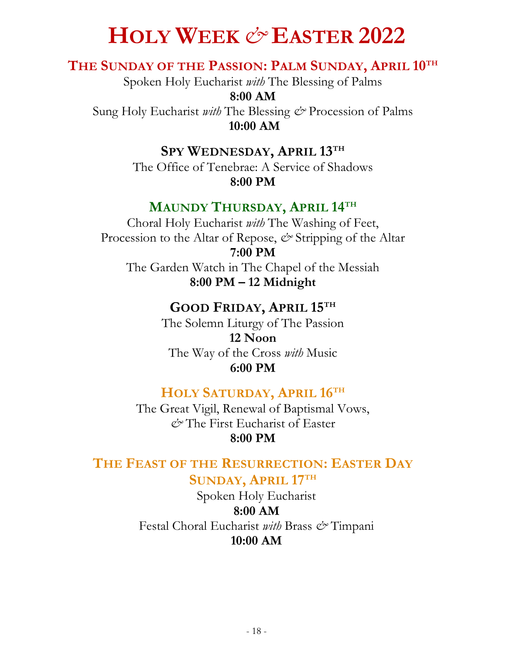# **HOLY WEEK** *&* **EASTER 2022**

## **THE SUNDAY OF THE PASSION: PALM SUNDAY, APRIL 10TH**

Spoken Holy Eucharist *with* The Blessing of Palms **8:00 AM** 

Sung Holy Eucharist *with* The Blessing *&* Procession of Palms **10:00 AM**

## **SPY WEDNESDAY, APRIL 13TH**

The Office of Tenebrae: A Service of Shadows **8:00 PM** 

## **MAUNDY THURSDAY, APRIL 14TH**

Choral Holy Eucharist *with* The Washing of Feet, Procession to the Altar of Repose,  $\mathcal O^*$  Stripping of the Altar **7:00 PM** 

The Garden Watch in The Chapel of the Messiah **8:00 PM – 12 Midnight**

## **GOOD FRIDAY, APRIL 15TH**

The Solemn Liturgy of The Passion **12 Noon**  The Way of the Cross *with* Music **6:00 PM**

## **HOLY SATURDAY, APRIL 16TH**

The Great Vigil, Renewal of Baptismal Vows, *&* The First Eucharist of Easter **8:00 PM**

## **THE FEAST OF THE RESURRECTION: EASTER DAY SUNDAY, APRIL 17TH**

Spoken Holy Eucharist **8:00 AM**  Festal Choral Eucharist *with* Brass *&* Timpani **10:00 AM**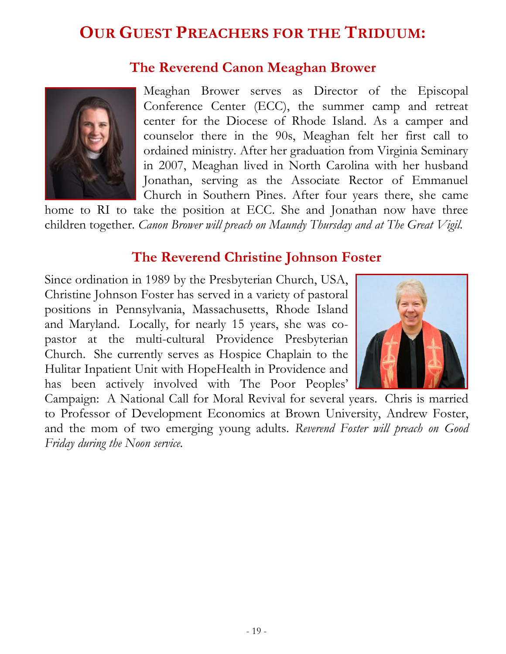# **OUR GUEST PREACHERS FOR THE TRIDUUM:**

## **The Reverend Canon Meaghan Brower**



Meaghan Brower serves as Director of the Episcopal Conference Center (ECC), the summer camp and retreat center for the Diocese of Rhode Island. As a camper and counselor there in the 90s, Meaghan felt her first call to ordained ministry. After her graduation from Virginia Seminary in 2007, Meaghan lived in North Carolina with her husband Jonathan, serving as the Associate Rector of Emmanuel Church in Southern Pines. After four years there, she came

home to RI to take the position at ECC. She and Jonathan now have three children together. *Canon Brower will preach on Maundy Thursday and at The Great Vigil.*

## **The Reverend Christine Johnson Foster**

Since ordination in 1989 by the Presbyterian Church, USA, Christine Johnson Foster has served in a variety of pastoral positions in Pennsylvania, Massachusetts, Rhode Island and Maryland. Locally, for nearly 15 years, she was copastor at the multi-cultural Providence Presbyterian Church. She currently serves as Hospice Chaplain to the Hulitar Inpatient Unit with HopeHealth in Providence and has been actively involved with The Poor Peoples'



Campaign: A National Call for Moral Revival for several years. Chris is married to Professor of Development Economics at Brown University, Andrew Foster, and the mom of two emerging young adults. *Reverend Foster will preach on Good Friday during the Noon service.*